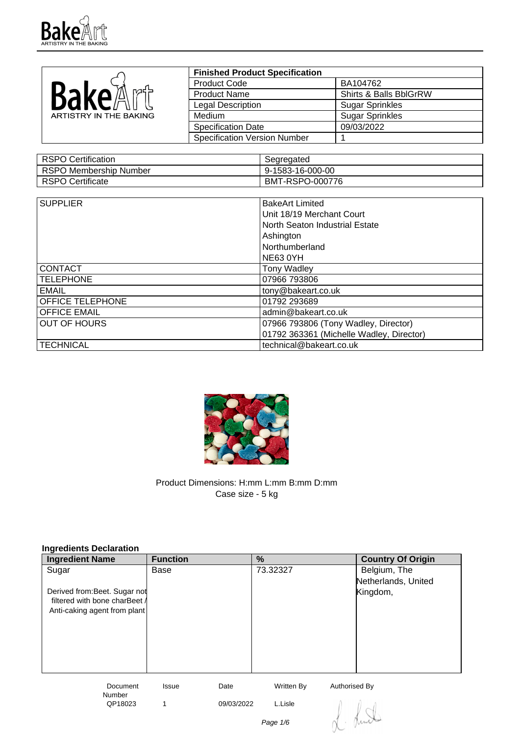

|                        | <b>Finished Product Specification</b> |                        |
|------------------------|---------------------------------------|------------------------|
|                        | <b>Product Code</b>                   | BA104762               |
| BakeA<br>n⁄nd≒         | <b>Product Name</b>                   | Shirts & Balls BblGrRW |
|                        | <b>Legal Description</b>              | <b>Sugar Sprinkles</b> |
| ARTISTRY IN THE BAKING | <b>Medium</b>                         | <b>Sugar Sprinkles</b> |
|                        | <b>Specification Date</b>             | 09/03/2022             |
|                        | <b>Specification Version Number</b>   |                        |

| RSPO Certification     | Segregated       |
|------------------------|------------------|
| RSPO Membership Number | 9-1583-16-000-00 |
| RSPO Certificate       | BMT-RSPO-000776  |

| <b>SUPPLIER</b>     | <b>BakeArt Limited</b>                   |
|---------------------|------------------------------------------|
|                     |                                          |
|                     | Unit 18/19 Merchant Court                |
|                     | North Seaton Industrial Estate           |
|                     | Ashington                                |
|                     | Northumberland                           |
|                     | <b>NE63 0YH</b>                          |
| <b>CONTACT</b>      | <b>Tony Wadley</b>                       |
| <b>TELEPHONE</b>    | 07966 793806                             |
| EMAIL               | tony@bakeart.co.uk                       |
| OFFICE TELEPHONE    | 01792 293689                             |
| <b>OFFICE EMAIL</b> | admin@bakeart.co.uk                      |
| <b>OUT OF HOURS</b> | 07966 793806 (Tony Wadley, Director)     |
|                     | 01792 363361 (Michelle Wadley, Director) |
| <b>TECHNICAL</b>    | technical@bakeart.co.uk                  |



Product Dimensions: H:mm L:mm B:mm D:mm Case size - 5 kg

| Ingredients Declaration          |                 |            |            |                          |
|----------------------------------|-----------------|------------|------------|--------------------------|
| <b>Ingredient Name</b>           | <b>Function</b> |            | %          | <b>Country Of Origin</b> |
| Sugar                            | Base            |            | 73.32327   | Belgium, The             |
|                                  |                 |            |            | Netherlands, United      |
| Derived from: Beet. Sugar not    |                 |            |            | Kingdom,                 |
| filtered with bone charBeet /    |                 |            |            |                          |
| Anti-caking agent from plant     |                 |            |            |                          |
|                                  |                 |            |            |                          |
|                                  |                 |            |            |                          |
|                                  |                 |            |            |                          |
|                                  |                 |            |            |                          |
|                                  |                 |            |            |                          |
| <b>Document</b><br><b>Number</b> | Issue           | Date       | Written By | Authorised By            |
| QP18023                          | 1               | 09/03/2022 | L.Lisle    |                          |
|                                  |                 |            |            |                          |
|                                  |                 |            | Page 1/6   |                          |
|                                  |                 |            |            |                          |

## **Ingredients Declaration**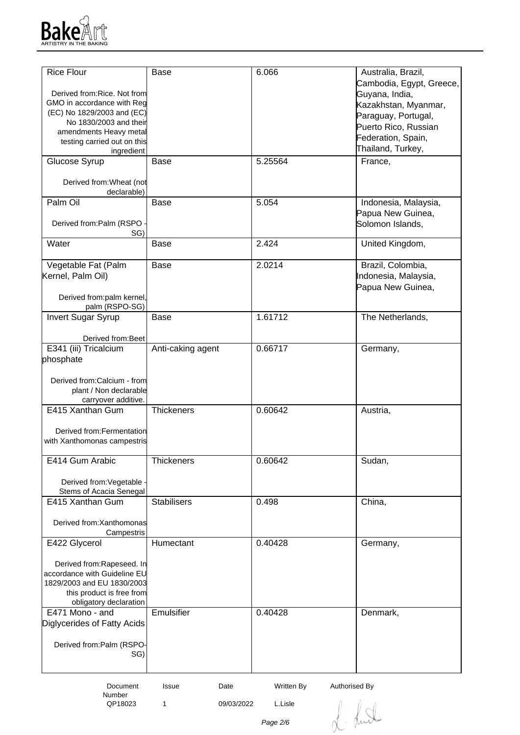

| <b>Rice Flour</b>                                       | <b>Base</b>        | 6.066                       | Australia, Brazil,       |
|---------------------------------------------------------|--------------------|-----------------------------|--------------------------|
|                                                         |                    |                             | Cambodia, Egypt, Greece, |
| Derived from: Rice. Not from                            |                    |                             | Guyana, India,           |
| GMO in accordance with Reg                              |                    |                             | Kazakhstan, Myanmar,     |
| (EC) No 1829/2003 and (EC)                              |                    |                             | Paraguay, Portugal,      |
| No 1830/2003 and their                                  |                    |                             | Puerto Rico, Russian     |
| amendments Heavy metal                                  |                    |                             | Federation, Spain,       |
| testing carried out on this                             |                    |                             | Thailand, Turkey,        |
| ingredient<br>Glucose Syrup                             | <b>Base</b>        | 5.25564                     | France,                  |
|                                                         |                    |                             |                          |
| Derived from: Wheat (not<br>declarable)                 |                    |                             |                          |
| Palm Oil                                                | <b>Base</b>        | 5.054                       | Indonesia, Malaysia,     |
|                                                         |                    |                             | Papua New Guinea,        |
| Derived from:Palm (RSPO                                 |                    |                             | Solomon Islands,         |
| SG)                                                     |                    |                             |                          |
| Water                                                   | Base               | 2.424                       | United Kingdom,          |
| Vegetable Fat (Palm                                     | <b>Base</b>        | 2.0214                      | Brazil, Colombia,        |
| Kernel, Palm Oil)                                       |                    |                             | Indonesia, Malaysia,     |
|                                                         |                    |                             | Papua New Guinea,        |
| Derived from:palm kernel,                               |                    |                             |                          |
| palm (RSPO-SG)                                          |                    |                             |                          |
| <b>Invert Sugar Syrup</b>                               | <b>Base</b>        | 1.61712                     | The Netherlands,         |
|                                                         |                    |                             |                          |
| Derived from: Beet                                      |                    |                             |                          |
| E341 (iii) Tricalcium                                   | Anti-caking agent  | 0.66717                     | Germany,                 |
| phosphate                                               |                    |                             |                          |
|                                                         |                    |                             |                          |
| Derived from:Calcium - from                             |                    |                             |                          |
| plant / Non declarable                                  |                    |                             |                          |
| carryover additive.                                     |                    |                             |                          |
| E415 Xanthan Gum                                        | <b>Thickeners</b>  | 0.60642                     | Austria,                 |
|                                                         |                    |                             |                          |
| Derived from: Fermentation                              |                    |                             |                          |
| with Xanthomonas campestris                             |                    |                             |                          |
| E414 Gum Arabic                                         | Thickeners         | 0.60642                     | Sudan,                   |
|                                                         |                    |                             |                          |
| Derived from: Vegetable                                 |                    |                             |                          |
| Stems of Acacia Senegal                                 |                    |                             |                          |
| E415 Xanthan Gum                                        | <b>Stabilisers</b> | 0.498                       | China,                   |
|                                                         |                    |                             |                          |
| Derived from: Xanthomonas                               |                    |                             |                          |
| Campestris                                              |                    |                             |                          |
| E422 Glycerol                                           | Humectant          | 0.40428                     | Germany,                 |
|                                                         |                    |                             |                          |
| Derived from:Rapeseed. In                               |                    |                             |                          |
| accordance with Guideline EU                            |                    |                             |                          |
| 1829/2003 and EU 1830/2003<br>this product is free from |                    |                             |                          |
| obligatory declaration                                  |                    |                             |                          |
| E471 Mono - and                                         | Emulsifier         | 0.40428                     | Denmark,                 |
| Diglycerides of Fatty Acids                             |                    |                             |                          |
|                                                         |                    |                             |                          |
| Derived from:Palm (RSPO-                                |                    |                             |                          |
| SG)                                                     |                    |                             |                          |
|                                                         |                    |                             |                          |
|                                                         |                    |                             |                          |
| Document                                                | Date<br>Issue      | Written By<br>Authorised By |                          |

 Document Number<br>QP18023

1 09/03/2022 L.Lisle

L. Lund

Page 2/6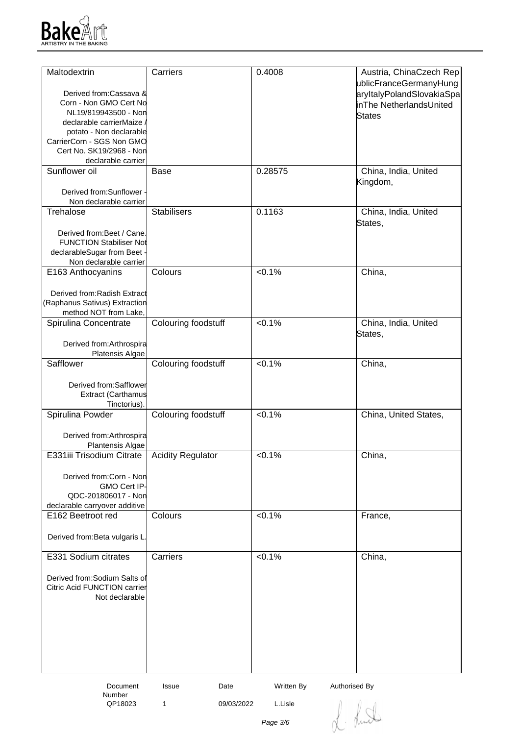

| Maltodextrin                                                  | Carriers                 | 0.4008                      | Austria, ChinaCzech Rep   |
|---------------------------------------------------------------|--------------------------|-----------------------------|---------------------------|
|                                                               |                          |                             |                           |
| Derived from:Cassava &                                        |                          |                             | ublicFranceGermanyHung    |
| Corn - Non GMO Cert No                                        |                          |                             | aryItalyPolandSlovakiaSpa |
| NL19/819943500 - Non                                          |                          |                             | inThe NetherlandsUnited   |
| declarable carrierMaize                                       |                          |                             | States                    |
| potato - Non declarable                                       |                          |                             |                           |
| CarrierCorn - SGS Non GMO                                     |                          |                             |                           |
| Cert No. SK19/2968 - Non                                      |                          |                             |                           |
| declarable carrier                                            |                          |                             |                           |
| Sunflower oil                                                 | <b>Base</b>              | 0.28575                     | China, India, United      |
|                                                               |                          |                             | Kingdom,                  |
| Derived from:Sunflower -                                      |                          |                             |                           |
| Non declarable carrier                                        |                          |                             |                           |
| Trehalose                                                     | <b>Stabilisers</b>       | 0.1163                      | China, India, United      |
|                                                               |                          |                             | States,                   |
| Derived from: Beet / Cane.                                    |                          |                             |                           |
| <b>FUNCTION Stabiliser Not</b>                                |                          |                             |                           |
| declarableSugar from Beet -                                   |                          |                             |                           |
| Non declarable carrier                                        |                          |                             |                           |
| E163 Anthocyanins                                             | Colours                  | $< 0.1\%$                   | China,                    |
|                                                               |                          |                             |                           |
| Derived from: Radish Extract                                  |                          |                             |                           |
| (Raphanus Sativus) Extraction                                 |                          |                             |                           |
| method NOT from Lake,                                         |                          |                             |                           |
| Spirulina Concentrate                                         | Colouring foodstuff      | $< 0.1\%$                   | China, India, United      |
|                                                               |                          |                             | States,                   |
| Derived from: Arthrospira                                     |                          |                             |                           |
| Platensis Algae                                               |                          |                             |                           |
| Safflower                                                     | Colouring foodstuff      | $< 0.1\%$                   | China,                    |
|                                                               |                          |                             |                           |
| Derived from:Safflower                                        |                          |                             |                           |
| <b>Extract (Carthamus</b>                                     |                          |                             |                           |
| Tinctorius).                                                  |                          |                             |                           |
| Spirulina Powder                                              | Colouring foodstuff      | $< 0.1\%$                   | China, United States,     |
|                                                               |                          |                             |                           |
| Derived from: Arthrospira                                     |                          |                             |                           |
| Plantensis Algae                                              |                          |                             |                           |
| E331iii Trisodium Citrate                                     | <b>Acidity Regulator</b> | 50.1%                       | China,                    |
|                                                               |                          |                             |                           |
|                                                               |                          |                             |                           |
| Derived from:Corn - Non<br>GMO Cert IP-                       |                          |                             |                           |
| QDC-201806017 - Non                                           |                          |                             |                           |
| declarable carryover additive                                 |                          |                             |                           |
| E162 Beetroot red                                             | Colours                  | $< 0.1\%$                   | France,                   |
|                                                               |                          |                             |                           |
| Derived from: Beta vulgaris L.                                |                          |                             |                           |
|                                                               |                          |                             |                           |
| E331 Sodium citrates                                          | Carriers                 | $< 0.1\%$                   | China,                    |
|                                                               |                          |                             |                           |
|                                                               |                          |                             |                           |
| Derived from: Sodium Salts of<br>Citric Acid FUNCTION carrier |                          |                             |                           |
| Not declarable                                                |                          |                             |                           |
|                                                               |                          |                             |                           |
|                                                               |                          |                             |                           |
|                                                               |                          |                             |                           |
|                                                               |                          |                             |                           |
|                                                               |                          |                             |                           |
|                                                               |                          |                             |                           |
|                                                               |                          |                             |                           |
|                                                               |                          |                             |                           |
| Document                                                      | Issue<br>Date            | Written By<br>Authorised By |                           |

Number<br>QP18023

1 09/03/2022 L.Lisle

L. Lund

Page 3/6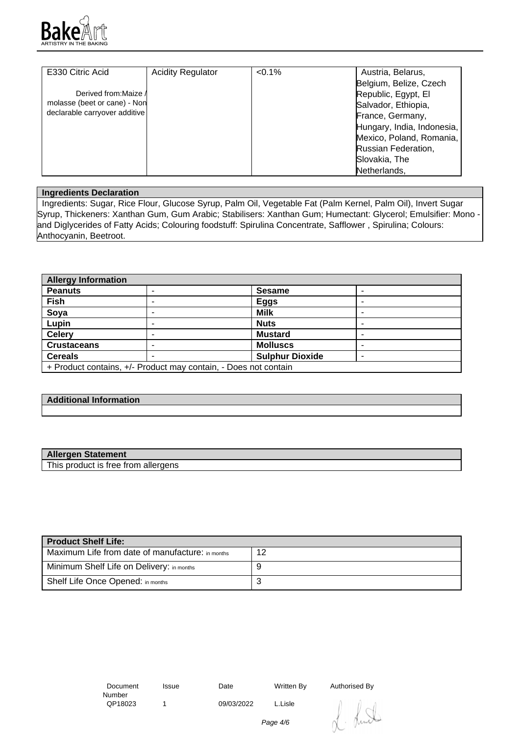

| E330 Citric Acid              | <b>Acidity Regulator</b> | $< 0.1\%$ | Austria, Belarus,          |
|-------------------------------|--------------------------|-----------|----------------------------|
|                               |                          |           | Belgium, Belize, Czech     |
| Derived from: Maize /         |                          |           | Republic, Egypt, El        |
| molasse (beet or cane) - Non  |                          |           | Salvador, Ethiopia,        |
| declarable carryover additive |                          |           | France, Germany,           |
|                               |                          |           | Hungary, India, Indonesia, |
|                               |                          |           | Mexico, Poland, Romania,   |
|                               |                          |           | Russian Federation,        |
|                               |                          |           | Slovakia, The              |
|                               |                          |           | Netherlands,               |

## **Ingredients Declaration**

 Ingredients: Sugar, Rice Flour, Glucose Syrup, Palm Oil, Vegetable Fat (Palm Kernel, Palm Oil), Invert Sugar Syrup, Thickeners: Xanthan Gum, Gum Arabic; Stabilisers: Xanthan Gum; Humectant: Glycerol; Emulsifier: Mono and Diglycerides of Fatty Acids; Colouring foodstuff: Spirulina Concentrate, Safflower , Spirulina; Colours: Anthocyanin, Beetroot.

| <b>Allergy Information</b>                                      |  |                        |   |
|-----------------------------------------------------------------|--|------------------------|---|
| <b>Peanuts</b>                                                  |  | <b>Sesame</b>          |   |
| <b>Fish</b>                                                     |  | <b>Eggs</b>            |   |
| Soya                                                            |  | <b>Milk</b>            | - |
| Lupin                                                           |  | <b>Nuts</b>            | - |
| <b>Celery</b>                                                   |  | <b>Mustard</b>         |   |
| <b>Crustaceans</b>                                              |  | <b>Molluscs</b>        | - |
| <b>Cereals</b>                                                  |  | <b>Sulphur Dioxide</b> | - |
| + Product contains, +/- Product may contain, - Does not contain |  |                        |   |

## **Additional Information**

| <b>Allergen Statement</b>           |  |
|-------------------------------------|--|
| This product is free from allergens |  |

| Product Shelf Life:                              |    |
|--------------------------------------------------|----|
| Maximum Life from date of manufacture: in months | 12 |
| Minimum Shelf Life on Delivery: in months        | g  |
| Shelf Life Once Opened: in months                |    |

| Document |  |
|----------|--|
| Number   |  |
| QP18023  |  |

1 09/03/2022 L.Lisle

Issue Date Written By Authorised By

Page 4/6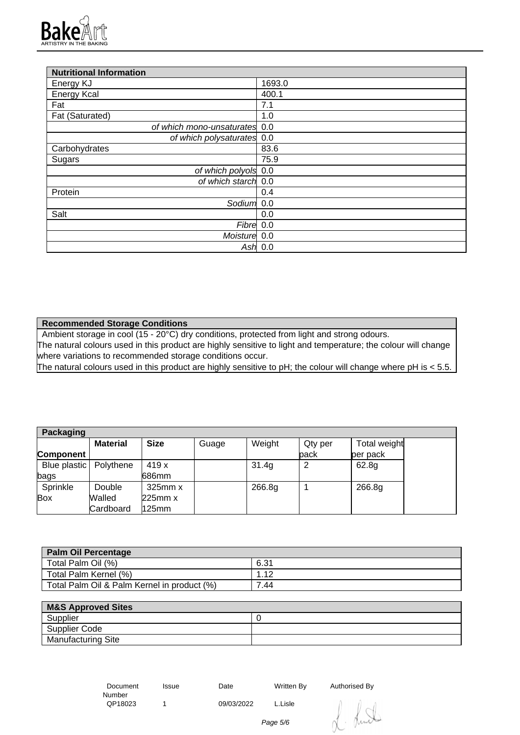

| <b>Nutritional Information</b> |           |
|--------------------------------|-----------|
| Energy KJ                      | 1693.0    |
| <b>Energy Kcal</b>             | 400.1     |
| Fat                            | 7.1       |
| Fat (Saturated)                | 1.0       |
| of which mono-unsaturates 0.0  |           |
| of which polysaturates 0.0     |           |
| Carbohydrates                  | 83.6      |
| Sugars                         | 75.9      |
| of which polyols 0.0           |           |
| of which starch 0.0            |           |
| Protein                        | 0.4       |
| Sodium                         | 0.0       |
| Salt                           | 0.0       |
| Fibre 0.0                      |           |
| Moisture 0.0                   |           |
|                                | Ash $0.0$ |

**Recommended Storage Conditions**

Ambient storage in cool (15 - 20°C) dry conditions, protected from light and strong odours. The natural colours used in this product are highly sensitive to light and temperature; the colour will change where variations to recommended storage conditions occur.

The natural colours used in this product are highly sensitive to pH; the colour will change where pH is < 5.5.

| Packaging                |                 |              |       |        |         |              |
|--------------------------|-----------------|--------------|-------|--------|---------|--------------|
|                          | <b>Material</b> | <b>Size</b>  | Guage | Weight | Qty per | Total weight |
| Component                |                 |              |       |        | back    | per pack     |
| Blue plastic   Polythene |                 | 419 x        |       | 31.4g  | っ       | 62.8g        |
| bags                     |                 | 686mm        |       |        |         |              |
| Sprinkle                 | Double          | $325$ mm $x$ |       | 266.8g |         | 266.8g       |
| <b>Box</b>               | Walled          | 225mm x      |       |        |         |              |
|                          | Cardboard       | 125mm        |       |        |         |              |

| <b>Palm Oil Percentage</b>                  |      |
|---------------------------------------------|------|
| Total Palm Oil (%)                          | 6.31 |
| Total Palm Kernel (%)                       |      |
| Total Palm Oil & Palm Kernel in product (%) | 7.44 |

| <b>M&amp;S Approved Sites</b> |  |
|-------------------------------|--|
| Supplier                      |  |
| Supplier Code                 |  |
| <b>Manufacturing Site</b>     |  |

 Document Number<br>QP18023 Issue Date Written By Authorised By 1 09/03/2022 L.Lisle

Page 5/6